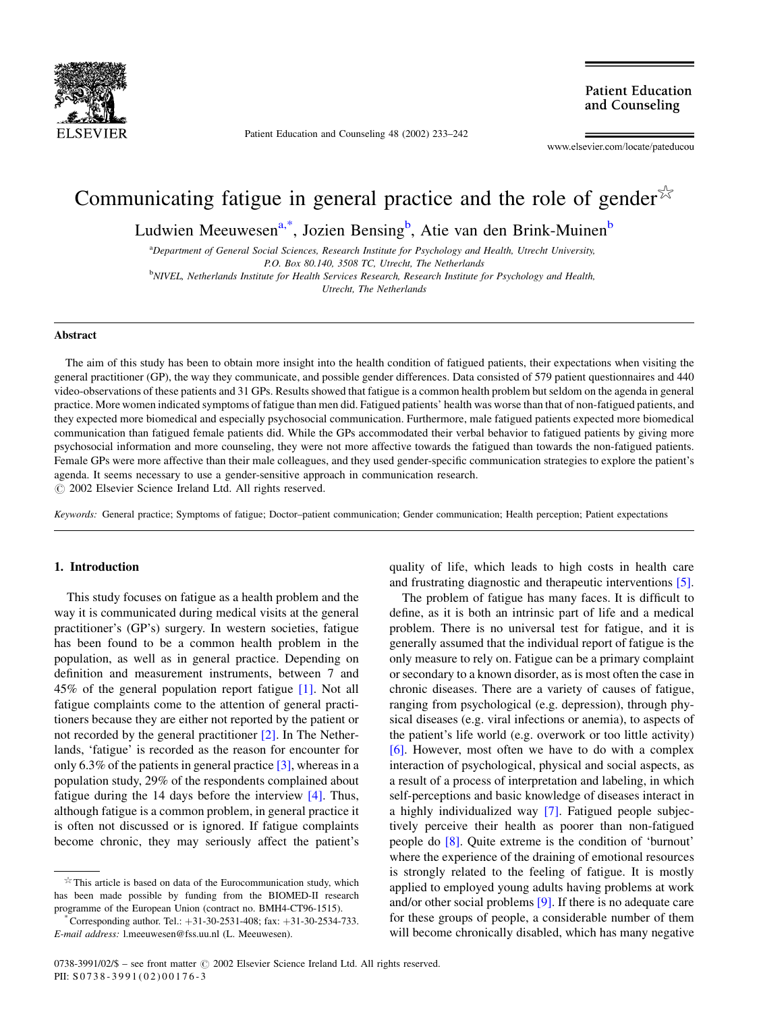

Patient Education and Counseling 48 (2002) 233–242

**Patient Education** and Counseling

www.elsevier.com/locate/pateducou

# Communicating fatigue in general practice and the role of gender  $\mathbb{X}$

Ludwien Meeuwesen<sup>a,\*</sup>, Jozien Bensing<sup>b</sup>, Atie van den Brink-Muinen<sup>b</sup>

<sup>a</sup>Department of General Social Sciences, Research Institute for Psychology and Health, Utrecht University, P.O. Box 80.140, 3508 TC, Utrecht, The Netherlands <sup>b</sup>NIVEL, Netherlands Institute for Health Services Research, Research Institute for Psychology and Health, Utrecht, The Netherlands

## Abstract

The aim of this study has been to obtain more insight into the health condition of fatigued patients, their expectations when visiting the general practitioner (GP), the way they communicate, and possible gender differences. Data consisted of 579 patient questionnaires and 440 video-observations of these patients and 31 GPs. Results showed that fatigue is a common health problem but seldom on the agenda in general practice. More women indicated symptoms of fatigue than men did. Fatigued patients' health was worse than that of non-fatigued patients, and they expected more biomedical and especially psychosocial communication. Furthermore, male fatigued patients expected more biomedical communication than fatigued female patients did. While the GPs accommodated their verbal behavior to fatigued patients by giving more psychosocial information and more counseling, they were not more affective towards the fatigued than towards the non-fatigued patients. Female GPs were more affective than their male colleagues, and they used gender-specific communication strategies to explore the patient's agenda. It seems necessary to use a gender-sensitive approach in communication research.

 $\odot$  2002 Elsevier Science Ireland Ltd. All rights reserved.

Keywords: General practice; Symptoms of fatigue; Doctor–patient communication; Gender communication; Health perception; Patient expectations

# 1. Introduction

This study focuses on fatigue as a health problem and the way it is communicated during medical visits at the general practitioner's (GP's) surgery. In western societies, fatigue has been found to be a common health problem in the population, as well as in general practice. Depending on definition and measurement instruments, between 7 and 45% of the general population report fatigue [\[1\].](#page-8-0) Not all fatigue complaints come to the attention of general practitioners because they are either not reported by the patient or not recorded by the general practitioner [\[2\].](#page-8-0) In The Netherlands, 'fatigue' is recorded as the reason for encounter for only 6.3% of the patients in general practice  $[3]$ , whereas in a population study, 29% of the respondents complained about fatigue during the 14 days before the interview [\[4\]](#page-8-0). Thus, although fatigue is a common problem, in general practice it is often not discussed or is ignored. If fatigue complaints become chronic, they may seriously affect the patient's

 $*$  This article is based on data of the Eurocommunication study, which has been made possible by funding from the BIOMED-II research programme of the European Union (contract no. BMH4-CT96-1515).<br>
\*Corresponding author. Tel.: +31-30-2531-408; fax: +31-30-2534-733.

E-mail address: l.meeuwesen@fss.uu.nl (L. Meeuwesen).

quality of life, which leads to high costs in health care and frustrating diagnostic and therapeutic interventions [\[5\]](#page-8-0).

The problem of fatigue has many faces. It is difficult to define, as it is both an intrinsic part of life and a medical problem. There is no universal test for fatigue, and it is generally assumed that the individual report of fatigue is the only measure to rely on. Fatigue can be a primary complaint or secondary to a known disorder, as is most often the case in chronic diseases. There are a variety of causes of fatigue, ranging from psychological (e.g. depression), through physical diseases (e.g. viral infections or anemia), to aspects of the patient's life world (e.g. overwork or too little activity) [\[6\]](#page-8-0). However, most often we have to do with a complex interaction of psychological, physical and social aspects, as a result of a process of interpretation and labeling, in which self-perceptions and basic knowledge of diseases interact in a highly individualized way [\[7\].](#page-8-0) Fatigued people subjectively perceive their health as poorer than non-fatigued people do [\[8\].](#page-8-0) Quite extreme is the condition of 'burnout' where the experience of the draining of emotional resources is strongly related to the feeling of fatigue. It is mostly applied to employed young adults having problems at work and/or other social problems [\[9\].](#page-8-0) If there is no adequate care for these groups of people, a considerable number of them will become chronically disabled, which has many negative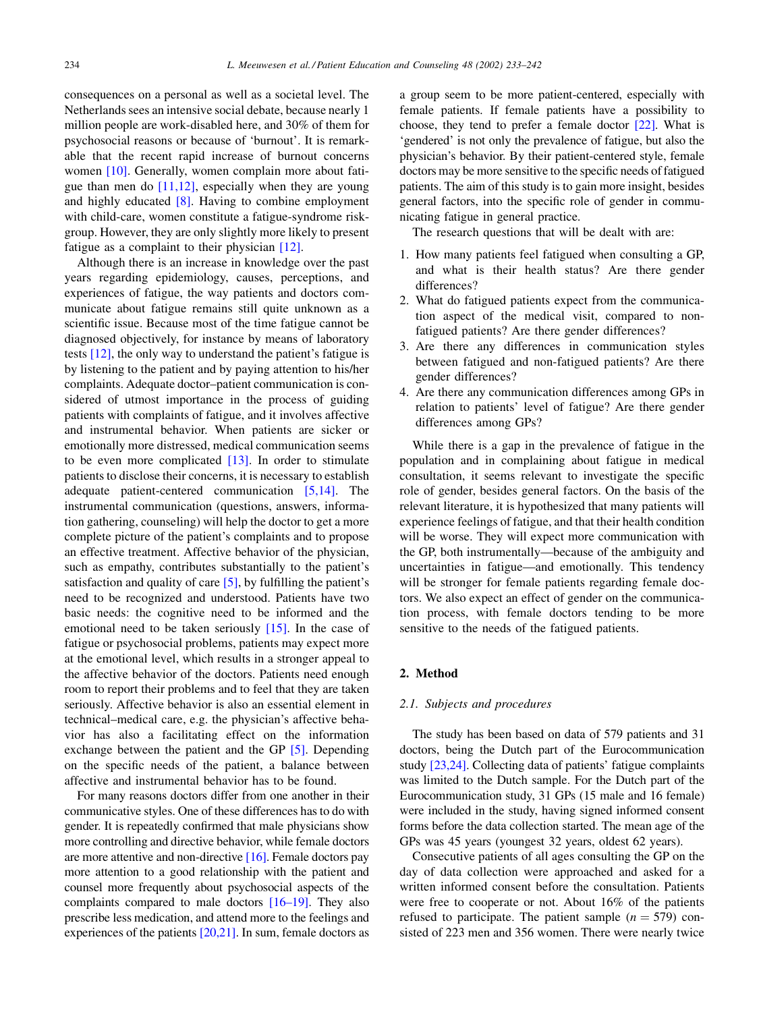consequences on a personal as well as a societal level. The Netherlands sees an intensive social debate, because nearly 1 million people are work-disabled here, and 30% of them for psychosocial reasons or because of 'burnout'. It is remarkable that the recent rapid increase of burnout concerns women [\[10\].](#page-8-0) Generally, women complain more about fatigue than men do [\[11,12\]](#page-8-0), especially when they are young and highly educated  $[8]$ . Having to combine employment with child-care, women constitute a fatigue-syndrome riskgroup. However, they are only slightly more likely to present fatigue as a complaint to their physician [\[12\].](#page-8-0)

Although there is an increase in knowledge over the past years regarding epidemiology, causes, perceptions, and experiences of fatigue, the way patients and doctors communicate about fatigue remains still quite unknown as a scientific issue. Because most of the time fatigue cannot be diagnosed objectively, for instance by means of laboratory tests [\[12\]](#page-8-0), the only way to understand the patient's fatigue is by listening to the patient and by paying attention to his/her complaints. Adequate doctor–patient communication is considered of utmost importance in the process of guiding patients with complaints of fatigue, and it involves affective and instrumental behavior. When patients are sicker or emotionally more distressed, medical communication seems to be even more complicated  $[13]$ . In order to stimulate patients to disclose their concerns, it is necessary to establish adequate patient-centered communication [\[5,14\]](#page-8-0). The instrumental communication (questions, answers, information gathering, counseling) will help the doctor to get a more complete picture of the patient's complaints and to propose an effective treatment. Affective behavior of the physician, such as empathy, contributes substantially to the patient's satisfaction and quality of care [\[5\],](#page-8-0) by fulfilling the patient's need to be recognized and understood. Patients have two basic needs: the cognitive need to be informed and the emotional need to be taken seriously [\[15\]](#page-8-0). In the case of fatigue or psychosocial problems, patients may expect more at the emotional level, which results in a stronger appeal to the affective behavior of the doctors. Patients need enough room to report their problems and to feel that they are taken seriously. Affective behavior is also an essential element in technical–medical care, e.g. the physician's affective behavior has also a facilitating effect on the information exchange between the patient and the GP [\[5\]](#page-8-0). Depending on the specific needs of the patient, a balance between affective and instrumental behavior has to be found.

For many reasons doctors differ from one another in their communicative styles. One of these differences has to do with gender. It is repeatedly confirmed that male physicians show more controlling and directive behavior, while female doctors are more attentive and non-directive [\[16\]](#page-8-0). Female doctors pay more attention to a good relationship with the patient and counsel more frequently about psychosocial aspects of the complaints compared to male doctors [\[16–19\]](#page-8-0). They also prescribe less medication, and attend more to the feelings and experiences of the patients  $[20,21]$ . In sum, female doctors as

a group seem to be more patient-centered, especially with female patients. If female patients have a possibility to choose, they tend to prefer a female doctor [\[22\].](#page-9-0) What is 'gendered' is not only the prevalence of fatigue, but also the physician's behavior. By their patient-centered style, female doctors may be more sensitive to the specific needs of fatigued patients. The aim of this study is to gain more insight, besides general factors, into the specific role of gender in communicating fatigue in general practice.

The research questions that will be dealt with are:

- 1. How many patients feel fatigued when consulting a GP, and what is their health status? Are there gender differences?
- 2. What do fatigued patients expect from the communication aspect of the medical visit, compared to nonfatigued patients? Are there gender differences?
- 3. Are there any differences in communication styles between fatigued and non-fatigued patients? Are there gender differences?
- 4. Are there any communication differences among GPs in relation to patients' level of fatigue? Are there gender differences among GPs?

While there is a gap in the prevalence of fatigue in the population and in complaining about fatigue in medical consultation, it seems relevant to investigate the specific role of gender, besides general factors. On the basis of the relevant literature, it is hypothesized that many patients will experience feelings of fatigue, and that their health condition will be worse. They will expect more communication with the GP, both instrumentally—because of the ambiguity and uncertainties in fatigue—and emotionally. This tendency will be stronger for female patients regarding female doctors. We also expect an effect of gender on the communication process, with female doctors tending to be more sensitive to the needs of the fatigued patients.

# 2. Method

## 2.1. Subjects and procedures

The study has been based on data of 579 patients and 31 doctors, being the Dutch part of the Eurocommunication study [\[23,24\].](#page-9-0) Collecting data of patients' fatigue complaints was limited to the Dutch sample. For the Dutch part of the Eurocommunication study, 31 GPs (15 male and 16 female) were included in the study, having signed informed consent forms before the data collection started. The mean age of the GPs was 45 years (youngest 32 years, oldest 62 years).

Consecutive patients of all ages consulting the GP on the day of data collection were approached and asked for a written informed consent before the consultation. Patients were free to cooperate or not. About 16% of the patients refused to participate. The patient sample  $(n = 579)$  consisted of 223 men and 356 women. There were nearly twice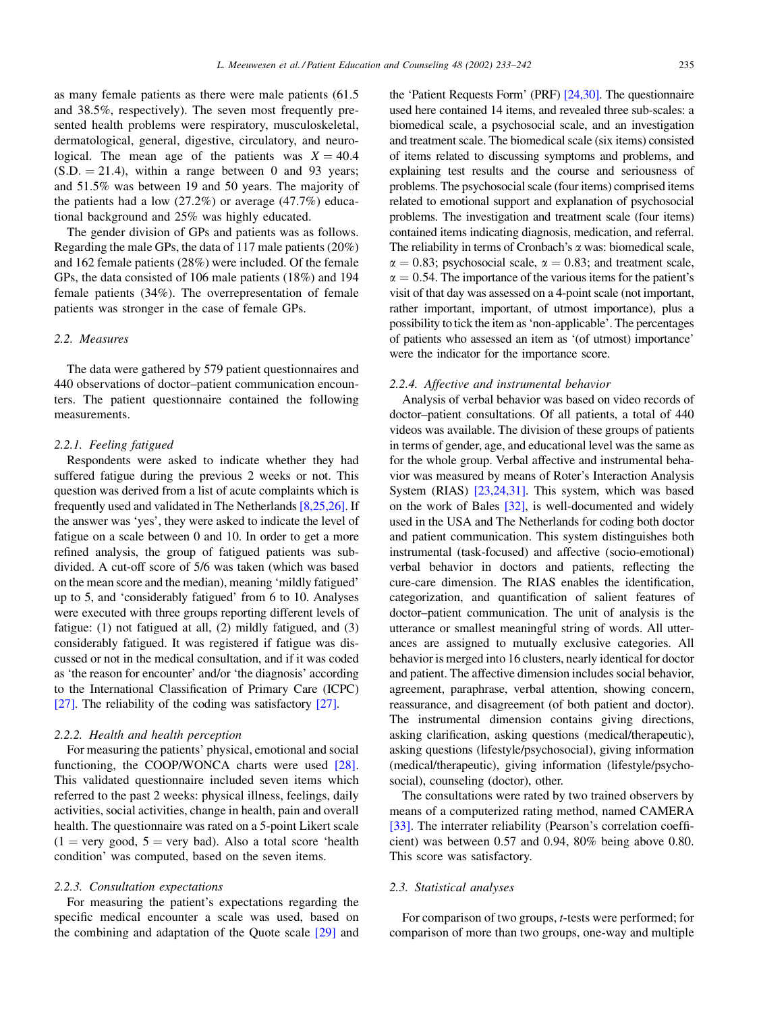as many female patients as there were male patients (61.5 and 38.5%, respectively). The seven most frequently presented health problems were respiratory, musculoskeletal, dermatological, general, digestive, circulatory, and neurological. The mean age of the patients was  $X = 40.4$  $(S.D. = 21.4)$ , within a range between 0 and 93 years; and 51.5% was between 19 and 50 years. The majority of the patients had a low (27.2%) or average (47.7%) educational background and 25% was highly educated.

The gender division of GPs and patients was as follows. Regarding the male GPs, the data of 117 male patients (20%) and 162 female patients (28%) were included. Of the female GPs, the data consisted of 106 male patients (18%) and 194 female patients (34%). The overrepresentation of female patients was stronger in the case of female GPs.

# 2.2. Measures

The data were gathered by 579 patient questionnaires and 440 observations of doctor–patient communication encounters. The patient questionnaire contained the following measurements.

## 2.2.1. Feeling fatigued

Respondents were asked to indicate whether they had suffered fatigue during the previous 2 weeks or not. This question was derived from a list of acute complaints which is frequently used and validated in The Netherlands [\[8,25,26\].](#page-8-0) If the answer was 'yes', they were asked to indicate the level of fatigue on a scale between 0 and 10. In order to get a more refined analysis, the group of fatigued patients was subdivided. A cut-off score of 5/6 was taken (which was based on the mean score and the median), meaning 'mildly fatigued' up to 5, and 'considerably fatigued' from 6 to 10. Analyses were executed with three groups reporting different levels of fatigue: (1) not fatigued at all, (2) mildly fatigued, and (3) considerably fatigued. It was registered if fatigue was discussed or not in the medical consultation, and if it was coded as 'the reason for encounter' and/or 'the diagnosis' according to the International Classification of Primary Care (ICPC) [\[27\].](#page-9-0) The reliability of the coding was satisfactory [\[27\]](#page-9-0).

## 2.2.2. Health and health perception

For measuring the patients' physical, emotional and social functioning, the COOP/WONCA charts were used [\[28\]](#page-9-0). This validated questionnaire included seven items which referred to the past 2 weeks: physical illness, feelings, daily activities, social activities, change in health, pain and overall health. The questionnaire was rated on a 5-point Likert scale  $(1 = \text{very good}, 5 = \text{very bad})$ . Also a total score 'health condition' was computed, based on the seven items.

## 2.2.3. Consultation expectations

For measuring the patient's expectations regarding the specific medical encounter a scale was used, based on the combining and adaptation of the Quote scale [\[29\]](#page-9-0) and the 'Patient Requests Form' (PRF) [\[24,30\]](#page-9-0). The questionnaire used here contained 14 items, and revealed three sub-scales: a biomedical scale, a psychosocial scale, and an investigation and treatment scale. The biomedical scale (six items) consisted of items related to discussing symptoms and problems, and explaining test results and the course and seriousness of problems. The psychosocial scale (four items) comprised items related to emotional support and explanation of psychosocial problems. The investigation and treatment scale (four items) contained items indicating diagnosis, medication, and referral. The reliability in terms of Cronbach's  $\alpha$  was: biomedical scale,  $\alpha = 0.83$ ; psychosocial scale,  $\alpha = 0.83$ ; and treatment scale,  $\alpha = 0.54$ . The importance of the various items for the patient's visit of that day was assessed on a 4-point scale (not important, rather important, important, of utmost importance), plus a possibility to tick the item as'non-applicable'. The percentages of patients who assessed an item as '(of utmost) importance' were the indicator for the importance score.

### 2.2.4. Affective and instrumental behavior

Analysis of verbal behavior was based on video records of doctor–patient consultations. Of all patients, a total of 440 videos was available. The division of these groups of patients in terms of gender, age, and educational level was the same as for the whole group. Verbal affective and instrumental behavior was measured by means of Roter's Interaction Analysis System (RIAS) [\[23,24,31\]](#page-9-0). This system, which was based on the work of Bales [\[32\],](#page-9-0) is well-documented and widely used in the USA and The Netherlands for coding both doctor and patient communication. This system distinguishes both instrumental (task-focused) and affective (socio-emotional) verbal behavior in doctors and patients, reflecting the cure-care dimension. The RIAS enables the identification, categorization, and quantification of salient features of doctor–patient communication. The unit of analysis is the utterance or smallest meaningful string of words. All utterances are assigned to mutually exclusive categories. All behavior is merged into 16 clusters, nearly identical for doctor and patient. The affective dimension includes social behavior, agreement, paraphrase, verbal attention, showing concern, reassurance, and disagreement (of both patient and doctor). The instrumental dimension contains giving directions, asking clarification, asking questions (medical/therapeutic), asking questions (lifestyle/psychosocial), giving information (medical/therapeutic), giving information (lifestyle/psychosocial), counseling (doctor), other.

The consultations were rated by two trained observers by means of a computerized rating method, named CAMERA [\[33\]](#page-9-0). The interrater reliability (Pearson's correlation coefficient) was between 0.57 and 0.94, 80% being above 0.80. This score was satisfactory.

# 2.3. Statistical analyses

For comparison of two groups, t-tests were performed; for comparison of more than two groups, one-way and multiple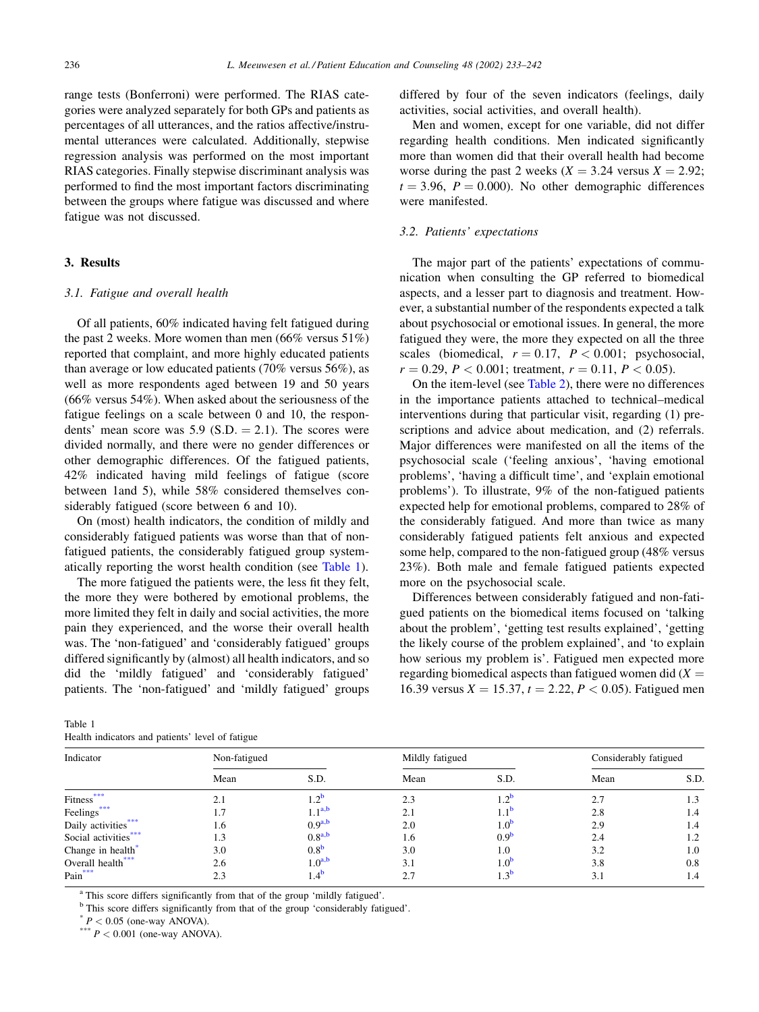<span id="page-3-0"></span>range tests (Bonferroni) were performed. The RIAS categories were analyzed separately for both GPs and patients as percentages of all utterances, and the ratios affective/instrumental utterances were calculated. Additionally, stepwise regression analysis was performed on the most important RIAS categories. Finally stepwise discriminant analysis was performed to find the most important factors discriminating between the groups where fatigue was discussed and where fatigue was not discussed.

## 3. Results

## 3.1. Fatigue and overall health

Of all patients, 60% indicated having felt fatigued during the past 2 weeks. More women than men (66% versus 51%) reported that complaint, and more highly educated patients than average or low educated patients (70% versus 56%), as well as more respondents aged between 19 and 50 years (66% versus 54%). When asked about the seriousness of the fatigue feelings on a scale between 0 and 10, the respondents' mean score was  $5.9$  (S.D.  $= 2.1$ ). The scores were divided normally, and there were no gender differences or other demographic differences. Of the fatigued patients, 42% indicated having mild feelings of fatigue (score between 1and 5), while 58% considered themselves considerably fatigued (score between 6 and 10).

On (most) health indicators, the condition of mildly and considerably fatigued patients was worse than that of nonfatigued patients, the considerably fatigued group systematically reporting the worst health condition (see Table 1).

The more fatigued the patients were, the less fit they felt, the more they were bothered by emotional problems, the more limited they felt in daily and social activities, the more pain they experienced, and the worse their overall health was. The 'non-fatigued' and 'considerably fatigued' groups differed significantly by (almost) all health indicators, and so did the 'mildly fatigued' and 'considerably fatigued' patients. The 'non-fatigued' and 'mildly fatigued' groups differed by four of the seven indicators (feelings, daily activities, social activities, and overall health).

Men and women, except for one variable, did not differ regarding health conditions. Men indicated significantly more than women did that their overall health had become worse during the past 2 weeks ( $X = 3.24$  versus  $X = 2.92$ ;  $t = 3.96$ ,  $P = 0.000$ ). No other demographic differences were manifested.

#### 3.2. Patients' expectations

The major part of the patients' expectations of communication when consulting the GP referred to biomedical aspects, and a lesser part to diagnosis and treatment. However, a substantial number of the respondents expected a talk about psychosocial or emotional issues. In general, the more fatigued they were, the more they expected on all the three scales (biomedical,  $r = 0.17$ ,  $P < 0.001$ ; psychosocial,  $r = 0.29$ ,  $P < 0.001$ ; treatment,  $r = 0.11$ ,  $P < 0.05$ ).

On the item-level (see [Table 2\)](#page-4-0), there were no differences in the importance patients attached to technical–medical interventions during that particular visit, regarding (1) prescriptions and advice about medication, and (2) referrals. Major differences were manifested on all the items of the psychosocial scale ('feeling anxious', 'having emotional problems', 'having a difficult time', and 'explain emotional problems'). To illustrate, 9% of the non-fatigued patients expected help for emotional problems, compared to 28% of the considerably fatigued. And more than twice as many considerably fatigued patients felt anxious and expected some help, compared to the non-fatigued group (48% versus 23%). Both male and female fatigued patients expected more on the psychosocial scale.

Differences between considerably fatigued and non-fatigued patients on the biomedical items focused on 'talking about the problem', 'getting test results explained', 'getting the likely course of the problem explained', and 'to explain how serious my problem is'. Fatigued men expected more regarding biomedical aspects than fatigued women did  $(X =$ 16.39 versus  $X = 15.37$ ,  $t = 2.22$ ,  $P < 0.05$ ). Fatigued men

| Indicator             | Non-fatigued |                    | Mildly fatigued |                  | Considerably fatigued |      |
|-----------------------|--------------|--------------------|-----------------|------------------|-----------------------|------|
|                       | Mean         | S.D.               | Mean            | S.D.             | Mean                  | S.D. |
| ***<br><b>Fitness</b> | 2.1          |                    | 2.3             | $1.2^{\circ}$    | 2.7                   | 1.3  |
| Feelings***           | 1.7          | $1.1^{a,b}$        | 2.1             | $1.1^{\circ}$    | 2.8                   | 1.4  |
| Daily activities***   | 1.6          | $0.9^{a,b}$        | 2.0             | $1.0^{\circ}$    | 2.9                   | 1.4  |
| Social activities***  | 1.3          | $0.8^{a,b}$        | 1.6             | 0.9 <sup>b</sup> | 2.4                   | 1.2  |
| Change in health*     | 3.0          | 0.8 <sup>b</sup>   | 3.0             | 1.0              | 3.2                   | 1.0  |
| Overall health***     | 2.6          | 1.0 <sup>a,b</sup> | 3.1             | $1.0^{\circ}$    | 3.8                   | 0.8  |
| Pain***               | 2.3          |                    | 2.7             | $1.3^{b}$        | 3.1                   | 1.4  |

<sup>a</sup> This score differs significantly from that of the group 'mildly fatigued'.

<sup>b</sup> This score differs significantly from that of the group 'considerably fatigued'.  $*P < 0.05$  (one-way ANOVA). \*\*\*  $P < 0.001$  (one-way ANOVA).

Table 1

Health indicators and patients' level of fatigue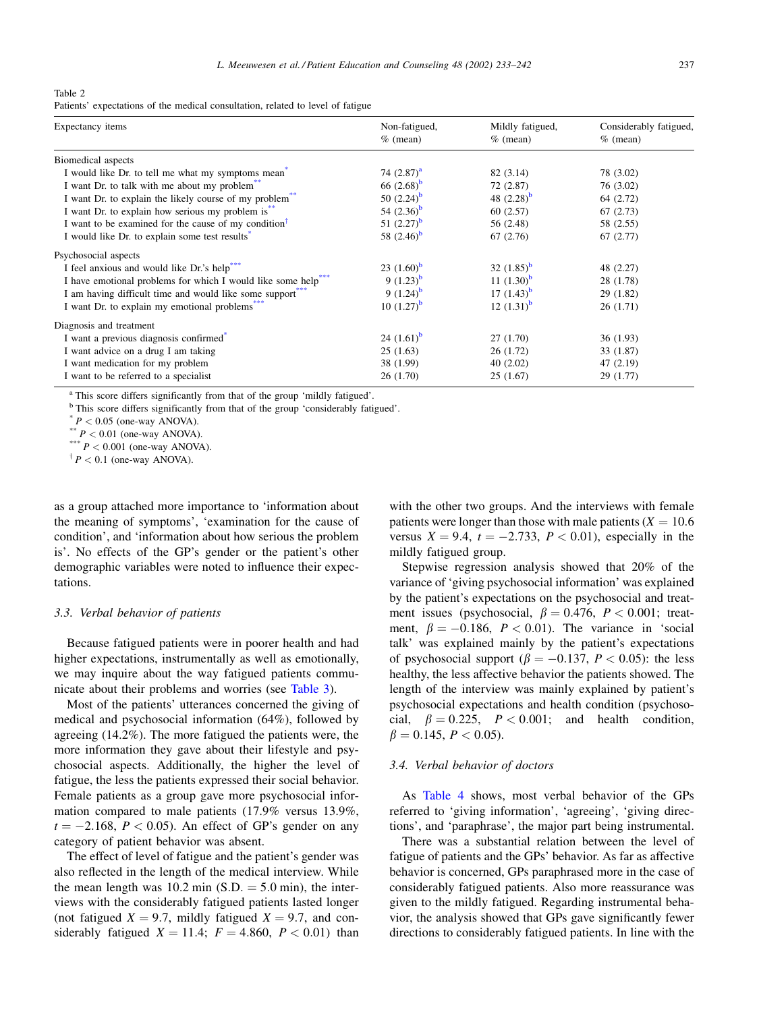<span id="page-4-0"></span>Table 2

Patients' expectations of the medical consultation, related to level of fatigue

| Expectancy items                                                        | Non-fatigued,   | Mildly fatigued, | Considerably fatigued, |  |
|-------------------------------------------------------------------------|-----------------|------------------|------------------------|--|
|                                                                         | $%$ (mean)      | $%$ (mean)       | $%$ (mean)             |  |
| Biomedical aspects                                                      |                 |                  |                        |  |
| I would like Dr. to tell me what my symptoms mean <sup>3</sup>          | 74 $(2.87)^{a}$ | 82 (3.14)        | 78 (3.02)              |  |
| I want Dr. to talk with me about my problem <sup>**</sup>               | 66 $(2.68)^b$   | 72 (2.87)        | 76 (3.02)              |  |
| I want Dr. to explain the likely course of my problem                   | 50 $(2.24)^{b}$ | 48 $(2.28)^b$    | 64 (2.72)              |  |
| I want Dr. to explain how serious my problem is.                        | 54 $(2.36)^b$   | 60(2.57)         | 67(2.73)               |  |
| I want to be examined for the cause of my condition <sup>1</sup>        | 51 $(2.27)^b$   | 56 (2.48)        | 58 (2.55)              |  |
| I would like Dr. to explain some test results                           | 58 $(2.46)^b$   | 67(2.76)         | 67(2.77)               |  |
| Psychosocial aspects                                                    |                 |                  |                        |  |
| I feel anxious and would like Dr.'s help"                               | 23 $(1.60)^b$   | 32 $(1.85)^b$    | 48 (2.27)              |  |
| I have emotional problems for which I would like some help <sup>*</sup> | 9 $(1.23)^b$    | 11 $(1.30)^b$    | 28 (1.78)              |  |
| I am having difficult time and would like some support                  | 9 $(1.24)^{b}$  | 17 $(1.43)^b$    | 29(1.82)               |  |
| I want Dr. to explain my emotional problems.                            | 10 $(1.27)^b$   | 12 $(1.31)^b$    | 26(1.71)               |  |
| Diagnosis and treatment                                                 |                 |                  |                        |  |
| I want a previous diagnosis confirmed                                   | 24 $(1.61)^b$   | 27 (1.70)        | 36(1.93)               |  |
| I want advice on a drug I am taking                                     | 25(1.63)        | 26(1.72)         | 33 (1.87)              |  |
| I want medication for my problem                                        | 38 (1.99)       | 40(2.02)         | 47(2.19)               |  |
| I want to be referred to a specialist                                   | 26(1.70)        | 25(1.67)         | 29(1.77)               |  |

<sup>a</sup> This score differs significantly from that of the group 'mildly fatigued'.

<sup>b</sup> This score differs significantly from that of the group 'considerably fatigued'. <br>
\*  $P < 0.05$  (one-way ANOVA).<br>
\*\*  $P < 0.01$  (one-way ANOVA).<br>
\*\*\*  $P < 0.001$  (one-way ANOVA).

 $\uparrow$  P < 0.1 (one-way ANOVA).

as a group attached more importance to 'information about the meaning of symptoms', 'examination for the cause of condition', and 'information about how serious the problem is'. No effects of the GP's gender or the patient's other demographic variables were noted to influence their expectations.

### 3.3. Verbal behavior of patients

Because fatigued patients were in poorer health and had higher expectations, instrumentally as well as emotionally, we may inquire about the way fatigued patients communicate about their problems and worries (see [Table 3\)](#page-5-0).

Most of the patients' utterances concerned the giving of medical and psychosocial information (64%), followed by agreeing (14.2%). The more fatigued the patients were, the more information they gave about their lifestyle and psychosocial aspects. Additionally, the higher the level of fatigue, the less the patients expressed their social behavior. Female patients as a group gave more psychosocial information compared to male patients (17.9% versus 13.9%,  $t = -2.168$ ,  $P < 0.05$ ). An effect of GP's gender on any category of patient behavior was absent.

The effect of level of fatigue and the patient's gender was also reflected in the length of the medical interview. While the mean length was  $10.2 \text{ min (S.D.} = 5.0 \text{ min})$ , the interviews with the considerably fatigued patients lasted longer (not fatigued  $X = 9.7$ , mildly fatigued  $X = 9.7$ , and considerably fatigued  $X = 11.4$ ;  $F = 4.860$ ,  $P < 0.01$ ) than

with the other two groups. And the interviews with female patients were longer than those with male patients ( $X = 10.6$ ) versus  $X = 9.4$ ,  $t = -2.733$ ,  $P < 0.01$ ), especially in the mildly fatigued group.

Stepwise regression analysis showed that 20% of the variance of 'giving psychosocial information' was explained by the patient's expectations on the psychosocial and treatment issues (psychosocial,  $\beta = 0.476$ ,  $P < 0.001$ ; treatment,  $\beta = -0.186$ ,  $P < 0.01$ ). The variance in 'social talk' was explained mainly by the patient's expectations of psychosocial support ( $\beta = -0.137$ ,  $P < 0.05$ ): the less healthy, the less affective behavior the patients showed. The length of the interview was mainly explained by patient's psychosocial expectations and health condition (psychosocial,  $\beta = 0.225$ ,  $P < 0.001$ ; and health condition,  $\beta = 0.145, P < 0.05$ .

#### 3.4. Verbal behavior of doctors

As [Table 4](#page-6-0) shows, most verbal behavior of the GPs referred to 'giving information', 'agreeing', 'giving directions', and 'paraphrase', the major part being instrumental.

There was a substantial relation between the level of fatigue of patients and the GPs' behavior. As far as affective behavior is concerned, GPs paraphrased more in the case of considerably fatigued patients. Also more reassurance was given to the mildly fatigued. Regarding instrumental behavior, the analysis showed that GPs gave significantly fewer directions to considerably fatigued patients. In line with the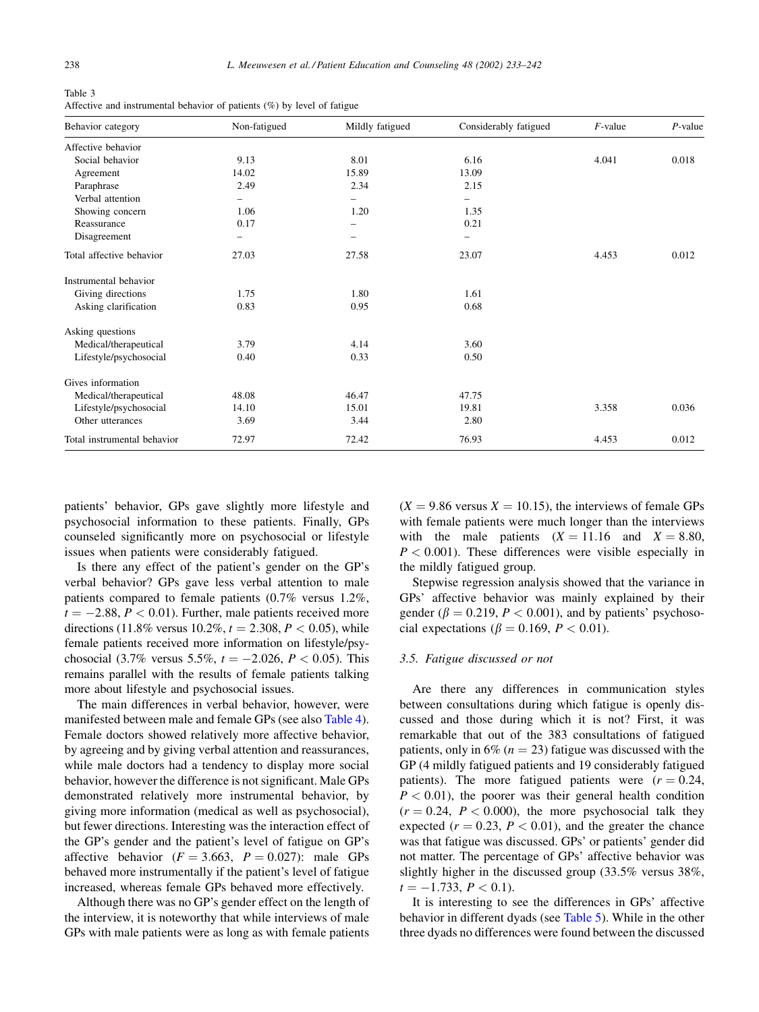<span id="page-5-0"></span>Table 3 Affective and instrumental behavior of patients (%) by level of fatigue

| Behavior category           | Non-fatigued | Mildly fatigued | Considerably fatigued | $F$ -value | $P$ -value |
|-----------------------------|--------------|-----------------|-----------------------|------------|------------|
| Affective behavior          |              |                 |                       |            |            |
| Social behavior             | 9.13         | 8.01            | 6.16                  | 4.041      | 0.018      |
| Agreement                   | 14.02        | 15.89           | 13.09                 |            |            |
| Paraphrase                  | 2.49         | 2.34            | 2.15                  |            |            |
| Verbal attention            |              |                 |                       |            |            |
| Showing concern             | 1.06         | 1.20            | 1.35                  |            |            |
| Reassurance                 | 0.17         |                 | 0.21                  |            |            |
| Disagreement                | -            |                 |                       |            |            |
| Total affective behavior    | 27.03        | 27.58           | 23.07                 | 4.453      | 0.012      |
| Instrumental behavior       |              |                 |                       |            |            |
| Giving directions           | 1.75         | 1.80            | 1.61                  |            |            |
| Asking clarification        | 0.83         | 0.95            | 0.68                  |            |            |
| Asking questions            |              |                 |                       |            |            |
| Medical/therapeutical       | 3.79         | 4.14            | 3.60                  |            |            |
| Lifestyle/psychosocial      | 0.40         | 0.33            | 0.50                  |            |            |
| Gives information           |              |                 |                       |            |            |
| Medical/therapeutical       | 48.08        | 46.47           | 47.75                 |            |            |
| Lifestyle/psychosocial      | 14.10        | 15.01           | 19.81                 | 3.358      | 0.036      |
| Other utterances            | 3.69         | 3.44            | 2.80                  |            |            |
| Total instrumental behavior | 72.97        | 72.42           | 76.93                 | 4.453      | 0.012      |

patients' behavior, GPs gave slightly more lifestyle and psychosocial information to these patients. Finally, GPs counseled significantly more on psychosocial or lifestyle issues when patients were considerably fatigued.

Is there any effect of the patient's gender on the GP's verbal behavior? GPs gave less verbal attention to male patients compared to female patients (0.7% versus 1.2%,  $t = -2.88, P < 0.01$ . Further, male patients received more directions (11.8% versus 10.2%,  $t = 2.308, P < 0.05$ ), while female patients received more information on lifestyle/psychosocial (3.7% versus 5.5%,  $t = -2.026$ ,  $P < 0.05$ ). This remains parallel with the results of female patients talking more about lifestyle and psychosocial issues.

The main differences in verbal behavior, however, were manifested between male and female GPs (see also [Table 4\)](#page-6-0). Female doctors showed relatively more affective behavior, by agreeing and by giving verbal attention and reassurances, while male doctors had a tendency to display more social behavior, however the difference is not significant. Male GPs demonstrated relatively more instrumental behavior, by giving more information (medical as well as psychosocial), but fewer directions. Interesting was the interaction effect of the GP's gender and the patient's level of fatigue on GP's affective behavior ( $F = 3.663$ ,  $P = 0.027$ ): male GPs behaved more instrumentally if the patient's level of fatigue increased, whereas female GPs behaved more effectively.

Although there was no GP's gender effect on the length of the interview, it is noteworthy that while interviews of male GPs with male patients were as long as with female patients  $(X = 9.86$  versus  $X = 10.15$ , the interviews of female GPs with female patients were much longer than the interviews with the male patients  $(X = 11.16$  and  $X = 8.80$ ,  $P < 0.001$ ). These differences were visible especially in the mildly fatigued group.

Stepwise regression analysis showed that the variance in GPs' affective behavior was mainly explained by their gender ( $\beta = 0.219$ ,  $P < 0.001$ ), and by patients' psychosocial expectations ( $\beta = 0.169$ ,  $P < 0.01$ ).

#### 3.5. Fatigue discussed or not

Are there any differences in communication styles between consultations during which fatigue is openly discussed and those during which it is not? First, it was remarkable that out of the 383 consultations of fatigued patients, only in 6% ( $n = 23$ ) fatigue was discussed with the GP (4 mildly fatigued patients and 19 considerably fatigued patients). The more fatigued patients were  $(r = 0.24, ...)$  $P < 0.01$ ), the poorer was their general health condition  $(r = 0.24, P < 0.000)$ , the more psychosocial talk they expected  $(r = 0.23, P < 0.01)$ , and the greater the chance was that fatigue was discussed. GPs' or patients' gender did not matter. The percentage of GPs' affective behavior was slightly higher in the discussed group (33.5% versus 38%,  $t = -1.733, P < 0.1$ ).

It is interesting to see the differences in GPs' affective behavior in different dyads (see [Table 5\)](#page-6-0). While in the other three dyads no differences were found between the discussed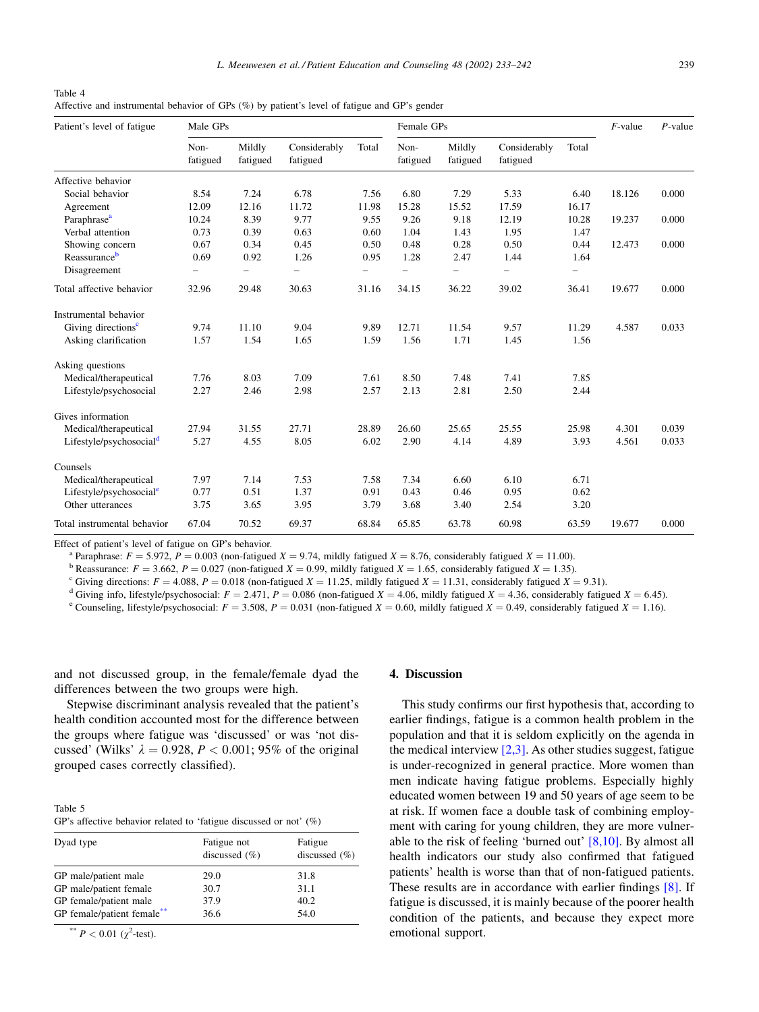<span id="page-6-0"></span>Table 4 Affective and instrumental behavior of GPs (%) by patient's level of fatigue and GP's gender

| Patient's level of fatigue          | Male GPs         |                    |                          | Female GPs |                          |                    | $F$ -value               | $P$ -value               |        |       |
|-------------------------------------|------------------|--------------------|--------------------------|------------|--------------------------|--------------------|--------------------------|--------------------------|--------|-------|
|                                     | Non-<br>fatigued | Mildly<br>fatigued | Considerably<br>fatigued | Total      | Non-<br>fatigued         | Mildly<br>fatigued | Considerably<br>fatigued | Total                    |        |       |
| Affective behavior                  |                  |                    |                          |            |                          |                    |                          |                          |        |       |
| Social behavior                     | 8.54             | 7.24               | 6.78                     | 7.56       | 6.80                     | 7.29               | 5.33                     | 6.40                     | 18.126 | 0.000 |
| Agreement                           | 12.09            | 12.16              | 11.72                    | 11.98      | 15.28                    | 15.52              | 17.59                    | 16.17                    |        |       |
| Paraphrase <sup>a</sup>             | 10.24            | 8.39               | 9.77                     | 9.55       | 9.26                     | 9.18               | 12.19                    | 10.28                    | 19.237 | 0.000 |
| Verbal attention                    | 0.73             | 0.39               | 0.63                     | 0.60       | 1.04                     | 1.43               | 1.95                     | 1.47                     |        |       |
| Showing concern                     | 0.67             | 0.34               | 0.45                     | 0.50       | 0.48                     | 0.28               | 0.50                     | 0.44                     | 12.473 | 0.000 |
| Reassuranceb                        | 0.69             | 0.92               | 1.26                     | 0.95       | 1.28                     | 2.47               | 1.44                     | 1.64                     |        |       |
| Disagreement                        | -                | -                  | $\overline{\phantom{0}}$ | -          | $\overline{\phantom{0}}$ | -                  | $\overline{\phantom{0}}$ | $\overline{\phantom{0}}$ |        |       |
| Total affective behavior            | 32.96            | 29.48              | 30.63                    | 31.16      | 34.15                    | 36.22              | 39.02                    | 36.41                    | 19.677 | 0.000 |
| Instrumental behavior               |                  |                    |                          |            |                          |                    |                          |                          |        |       |
| Giving directions <sup>c</sup>      | 9.74             | 11.10              | 9.04                     | 9.89       | 12.71                    | 11.54              | 9.57                     | 11.29                    | 4.587  | 0.033 |
| Asking clarification                | 1.57             | 1.54               | 1.65                     | 1.59       | 1.56                     | 1.71               | 1.45                     | 1.56                     |        |       |
| Asking questions                    |                  |                    |                          |            |                          |                    |                          |                          |        |       |
| Medical/therapeutical               | 7.76             | 8.03               | 7.09                     | 7.61       | 8.50                     | 7.48               | 7.41                     | 7.85                     |        |       |
| Lifestyle/psychosocial              | 2.27             | 2.46               | 2.98                     | 2.57       | 2.13                     | 2.81               | 2.50                     | 2.44                     |        |       |
| Gives information                   |                  |                    |                          |            |                          |                    |                          |                          |        |       |
| Medical/therapeutical               | 27.94            | 31.55              | 27.71                    | 28.89      | 26.60                    | 25.65              | 25.55                    | 25.98                    | 4.301  | 0.039 |
| Lifestyle/psychosocial <sup>d</sup> | 5.27             | 4.55               | 8.05                     | 6.02       | 2.90                     | 4.14               | 4.89                     | 3.93                     | 4.561  | 0.033 |
| Counsels                            |                  |                    |                          |            |                          |                    |                          |                          |        |       |
| Medical/therapeutical               | 7.97             | 7.14               | 7.53                     | 7.58       | 7.34                     | 6.60               | 6.10                     | 6.71                     |        |       |
| Lifestyle/psychosocial $\text{e}$   | 0.77             | 0.51               | 1.37                     | 0.91       | 0.43                     | 0.46               | 0.95                     | 0.62                     |        |       |
| Other utterances                    | 3.75             | 3.65               | 3.95                     | 3.79       | 3.68                     | 3.40               | 2.54                     | 3.20                     |        |       |
| Total instrumental behavior         | 67.04            | 70.52              | 69.37                    | 68.84      | 65.85                    | 63.78              | 60.98                    | 63.59                    | 19.677 | 0.000 |

Effect of patient's level of fatigue on GP's behavior.<br>
<sup>a</sup> Paraphrase:  $F = 5.972$ ,  $P = 0.003$  (non-fatigued  $X = 9.74$ , mildly fatigued  $X = 8.76$ , considerably fatigued  $X = 11.00$ ).<br>
<sup>b</sup> Reassurance:  $F = 3.662$ ,  $P = 0.027$ 

and not discussed group, in the female/female dyad the differences between the two groups were high.

Stepwise discriminant analysis revealed that the patient's health condition accounted most for the difference between the groups where fatigue was 'discussed' or was 'not discussed' (Wilks'  $\lambda = 0.928$ ,  $P < 0.001$ ; 95% of the original grouped cases correctly classified).

| Table 5                                                              |  |
|----------------------------------------------------------------------|--|
| GP's affective behavior related to 'fatigue discussed or not' $(\%)$ |  |

| Dyad type                  | Fatigue not<br>discussed $(\% )$ | Fatigue<br>discussed $(\% )$ |
|----------------------------|----------------------------------|------------------------------|
| GP male/patient male       | 29.0                             | 31.8                         |
| GP male/patient female     | 30.7                             | 31.1                         |
| GP female/patient male     | 37.9                             | 40.2                         |
| GP female/patient female** | 36.6                             | 54.0                         |

\*\*  $P < 0.01$  ( $\chi^2$ -test).

## 4. Discussion

This study confirms our first hypothesis that, according to earlier findings, fatigue is a common health problem in the population and that it is seldom explicitly on the agenda in the medical interview  $[2,3]$ . As other studies suggest, fatigue is under-recognized in general practice. More women than men indicate having fatigue problems. Especially highly educated women between 19 and 50 years of age seem to be at risk. If women face a double task of combining employment with caring for young children, they are more vulnerable to the risk of feeling 'burned out' [\[8,10\].](#page-8-0) By almost all health indicators our study also confirmed that fatigued patients' health is worse than that of non-fatigued patients. These results are in accordance with earlier findings [\[8\]](#page-8-0). If fatigue is discussed, it is mainly because of the poorer health condition of the patients, and because they expect more emotional support.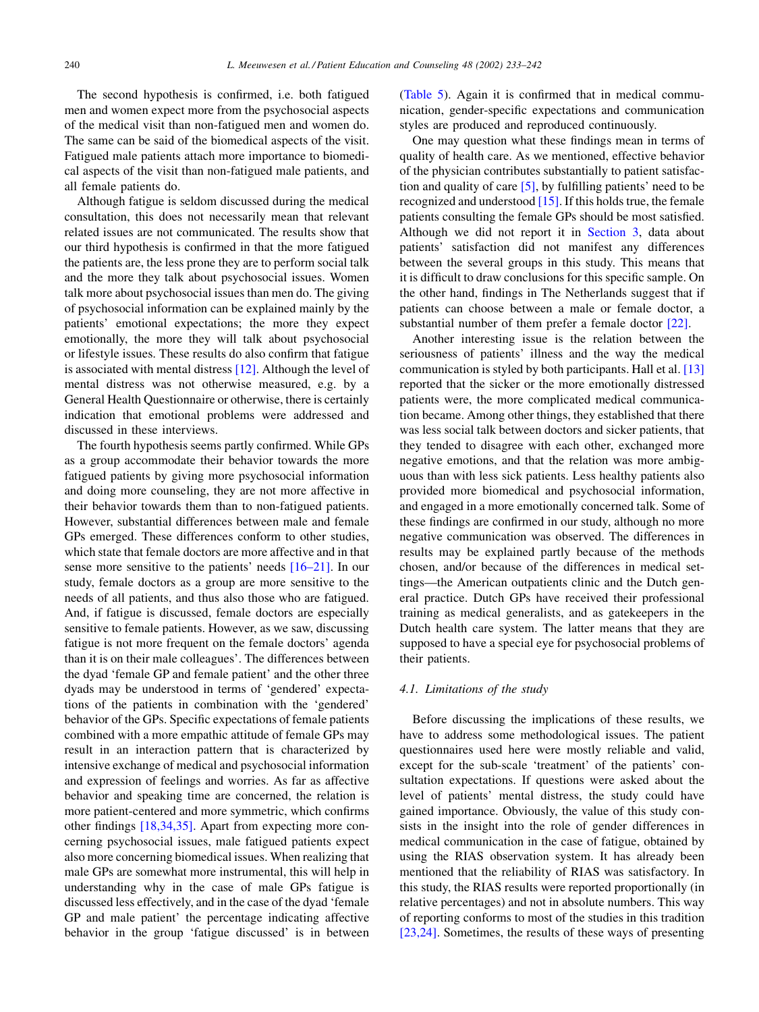The second hypothesis is confirmed, i.e. both fatigued men and women expect more from the psychosocial aspects of the medical visit than non-fatigued men and women do. The same can be said of the biomedical aspects of the visit. Fatigued male patients attach more importance to biomedical aspects of the visit than non-fatigued male patients, and all female patients do.

Although fatigue is seldom discussed during the medical consultation, this does not necessarily mean that relevant related issues are not communicated. The results show that our third hypothesis is confirmed in that the more fatigued the patients are, the less prone they are to perform social talk and the more they talk about psychosocial issues. Women talk more about psychosocial issues than men do. The giving of psychosocial information can be explained mainly by the patients' emotional expectations; the more they expect emotionally, the more they will talk about psychosocial or lifestyle issues. These results do also confirm that fatigue is associated with mental distress [\[12\].](#page-8-0) Although the level of mental distress was not otherwise measured, e.g. by a General Health Questionnaire or otherwise, there is certainly indication that emotional problems were addressed and discussed in these interviews.

The fourth hypothesis seems partly confirmed. While GPs as a group accommodate their behavior towards the more fatigued patients by giving more psychosocial information and doing more counseling, they are not more affective in their behavior towards them than to non-fatigued patients. However, substantial differences between male and female GPs emerged. These differences conform to other studies, which state that female doctors are more affective and in that sense more sensitive to the patients' needs [\[16–21\]](#page-8-0). In our study, female doctors as a group are more sensitive to the needs of all patients, and thus also those who are fatigued. And, if fatigue is discussed, female doctors are especially sensitive to female patients. However, as we saw, discussing fatigue is not more frequent on the female doctors' agenda than it is on their male colleagues'. The differences between the dyad 'female GP and female patient' and the other three dyads may be understood in terms of 'gendered' expectations of the patients in combination with the 'gendered' behavior of the GPs. Specific expectations of female patients combined with a more empathic attitude of female GPs may result in an interaction pattern that is characterized by intensive exchange of medical and psychosocial information and expression of feelings and worries. As far as affective behavior and speaking time are concerned, the relation is more patient-centered and more symmetric, which confirms other findings [\[18,34,35\]](#page-9-0). Apart from expecting more concerning psychosocial issues, male fatigued patients expect also more concerning biomedical issues. When realizing that male GPs are somewhat more instrumental, this will help in understanding why in the case of male GPs fatigue is discussed less effectively, and in the case of the dyad 'female GP and male patient' the percentage indicating affective behavior in the group 'fatigue discussed' is in between

([Table 5](#page-6-0)). Again it is confirmed that in medical communication, gender-specific expectations and communication styles are produced and reproduced continuously.

One may question what these findings mean in terms of quality of health care. As we mentioned, effective behavior of the physician contributes substantially to patient satisfaction and quality of care  $[5]$ , by fulfilling patients' need to be recognized and understood [\[15\].](#page-8-0) If this holds true, the female patients consulting the female GPs should be most satisfied. Although we did not report it in [Section 3](#page-3-0), data about patients' satisfaction did not manifest any differences between the several groups in this study. This means that it is difficult to draw conclusions for this specific sample. On the other hand, findings in The Netherlands suggest that if patients can choose between a male or female doctor, a substantial number of them prefer a female doctor [\[22\].](#page-9-0)

Another interesting issue is the relation between the seriousness of patients' illness and the way the medical communication is styled by both participants. Hall et al. [\[13\]](#page-8-0) reported that the sicker or the more emotionally distressed patients were, the more complicated medical communication became. Among other things, they established that there was less social talk between doctors and sicker patients, that they tended to disagree with each other, exchanged more negative emotions, and that the relation was more ambiguous than with less sick patients. Less healthy patients also provided more biomedical and psychosocial information, and engaged in a more emotionally concerned talk. Some of these findings are confirmed in our study, although no more negative communication was observed. The differences in results may be explained partly because of the methods chosen, and/or because of the differences in medical settings—the American outpatients clinic and the Dutch general practice. Dutch GPs have received their professional training as medical generalists, and as gatekeepers in the Dutch health care system. The latter means that they are supposed to have a special eye for psychosocial problems of their patients.

# 4.1. Limitations of the study

Before discussing the implications of these results, we have to address some methodological issues. The patient questionnaires used here were mostly reliable and valid, except for the sub-scale 'treatment' of the patients' consultation expectations. If questions were asked about the level of patients' mental distress, the study could have gained importance. Obviously, the value of this study consists in the insight into the role of gender differences in medical communication in the case of fatigue, obtained by using the RIAS observation system. It has already been mentioned that the reliability of RIAS was satisfactory. In this study, the RIAS results were reported proportionally (in relative percentages) and not in absolute numbers. This way of reporting conforms to most of the studies in this tradition [\[23,24\].](#page-9-0) Sometimes, the results of these ways of presenting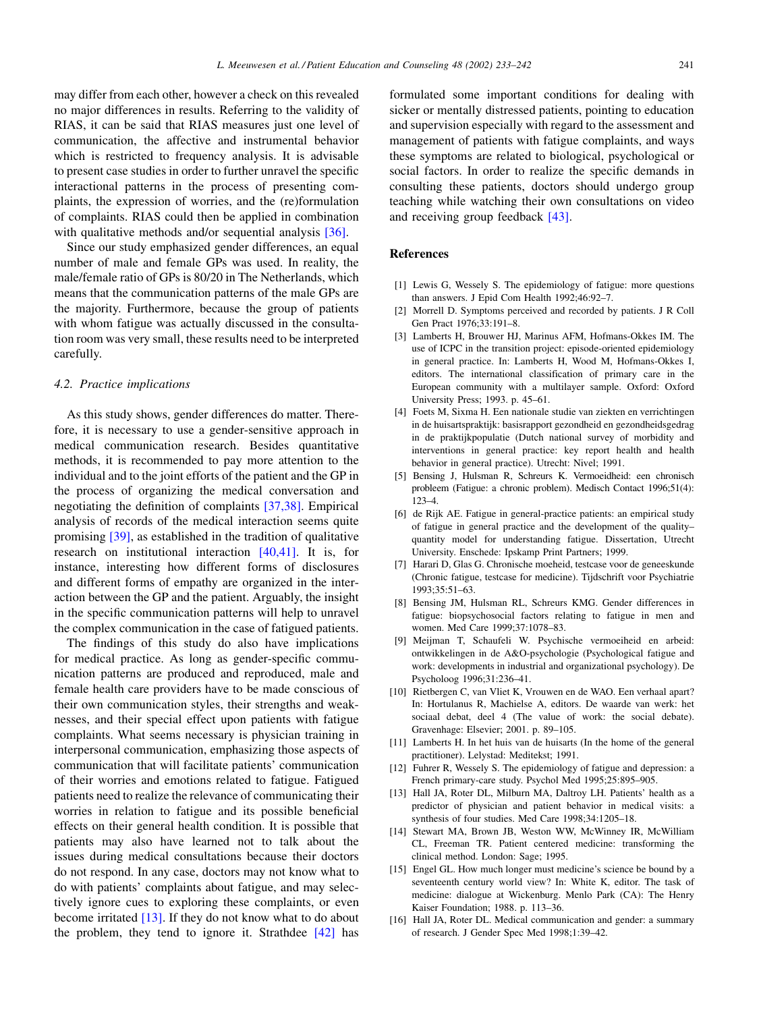<span id="page-8-0"></span>may differ from each other, however a check on this revealed no major differences in results. Referring to the validity of RIAS, it can be said that RIAS measures just one level of communication, the affective and instrumental behavior which is restricted to frequency analysis. It is advisable to present case studies in order to further unravel the specific interactional patterns in the process of presenting complaints, the expression of worries, and the (re)formulation of complaints. RIAS could then be applied in combination with qualitative methods and/or sequential analysis [\[36\]](#page-9-0).

Since our study emphasized gender differences, an equal number of male and female GPs was used. In reality, the male/female ratio of GPs is 80/20 in The Netherlands, which means that the communication patterns of the male GPs are the majority. Furthermore, because the group of patients with whom fatigue was actually discussed in the consultation room was very small, these results need to be interpreted carefully.

## 4.2. Practice implications

As this study shows, gender differences do matter. Therefore, it is necessary to use a gender-sensitive approach in medical communication research. Besides quantitative methods, it is recommended to pay more attention to the individual and to the joint efforts of the patient and the GP in the process of organizing the medical conversation and negotiating the definition of complaints [\[37,38\]](#page-9-0). Empirical analysis of records of the medical interaction seems quite promising [\[39\],](#page-9-0) as established in the tradition of qualitative research on institutional interaction [\[40,41\]](#page-9-0). It is, for instance, interesting how different forms of disclosures and different forms of empathy are organized in the interaction between the GP and the patient. Arguably, the insight in the specific communication patterns will help to unravel the complex communication in the case of fatigued patients.

The findings of this study do also have implications for medical practice. As long as gender-specific communication patterns are produced and reproduced, male and female health care providers have to be made conscious of their own communication styles, their strengths and weaknesses, and their special effect upon patients with fatigue complaints. What seems necessary is physician training in interpersonal communication, emphasizing those aspects of communication that will facilitate patients' communication of their worries and emotions related to fatigue. Fatigued patients need to realize the relevance of communicating their worries in relation to fatigue and its possible beneficial effects on their general health condition. It is possible that patients may also have learned not to talk about the issues during medical consultations because their doctors do not respond. In any case, doctors may not know what to do with patients' complaints about fatigue, and may selectively ignore cues to exploring these complaints, or even become irritated [13]. If they do not know what to do about the problem, they tend to ignore it. Strathdee  $[42]$  has

formulated some important conditions for dealing with sicker or mentally distressed patients, pointing to education and supervision especially with regard to the assessment and management of patients with fatigue complaints, and ways these symptoms are related to biological, psychological or social factors. In order to realize the specific demands in consulting these patients, doctors should undergo group teaching while watching their own consultations on video and receiving group feedback [\[43\].](#page-9-0)

# References

- [1] Lewis G, Wessely S. The epidemiology of fatigue: more questions than answers. J Epid Com Health 1992;46:92–7.
- [2] Morrell D. Symptoms perceived and recorded by patients. J R Coll Gen Pract 1976;33:191–8.
- [3] Lamberts H, Brouwer HJ, Marinus AFM, Hofmans-Okkes IM. The use of ICPC in the transition project: episode-oriented epidemiology in general practice. In: Lamberts H, Wood M, Hofmans-Okkes I, editors. The international classification of primary care in the European community with a multilayer sample. Oxford: Oxford University Press; 1993. p. 45–61.
- [4] Foets M, Sixma H. Een nationale studie van ziekten en verrichtingen in de huisartspraktijk: basisrapport gezondheid en gezondheidsgedrag in de praktijkpopulatie (Dutch national survey of morbidity and interventions in general practice: key report health and health behavior in general practice). Utrecht: Nivel; 1991.
- [5] Bensing J, Hulsman R, Schreurs K. Vermoeidheid: een chronisch probleem (Fatigue: a chronic problem). Medisch Contact 1996;51(4): 123–4.
- [6] de Rijk AE. Fatigue in general-practice patients: an empirical study of fatigue in general practice and the development of the quality– quantity model for understanding fatigue. Dissertation, Utrecht University. Enschede: Ipskamp Print Partners; 1999.
- [7] Harari D, Glas G. Chronische moeheid, testcase voor de geneeskunde (Chronic fatigue, testcase for medicine). Tijdschrift voor Psychiatrie 1993;35:51–63.
- [8] Bensing JM, Hulsman RL, Schreurs KMG. Gender differences in fatigue: biopsychosocial factors relating to fatigue in men and women. Med Care 1999;37:1078–83.
- [9] Meijman T, Schaufeli W. Psychische vermoeiheid en arbeid: ontwikkelingen in de A&O-psychologie (Psychological fatigue and work: developments in industrial and organizational psychology). De Psycholoog 1996;31:236–41.
- [10] Rietbergen C, van Vliet K, Vrouwen en de WAO. Een verhaal apart? In: Hortulanus R, Machielse A, editors. De waarde van werk: het sociaal debat, deel 4 (The value of work: the social debate). Gravenhage: Elsevier; 2001. p. 89–105.
- [11] Lamberts H. In het huis van de huisarts (In the home of the general practitioner). Lelystad: Meditekst; 1991.
- [12] Fuhrer R, Wessely S. The epidemiology of fatigue and depression: a French primary-care study. Psychol Med 1995;25:895–905.
- [13] Hall JA, Roter DL, Milburn MA, Daltroy LH. Patients' health as a predictor of physician and patient behavior in medical visits: a synthesis of four studies. Med Care 1998;34:1205–18.
- [14] Stewart MA, Brown JB, Weston WW, McWinney IR, McWilliam CL, Freeman TR. Patient centered medicine: transforming the clinical method. London: Sage; 1995.
- [15] Engel GL. How much longer must medicine's science be bound by a seventeenth century world view? In: White K, editor. The task of medicine: dialogue at Wickenburg. Menlo Park (CA): The Henry Kaiser Foundation; 1988. p. 113–36.
- [16] Hall JA, Roter DL. Medical communication and gender: a summary of research. J Gender Spec Med 1998;1:39–42.